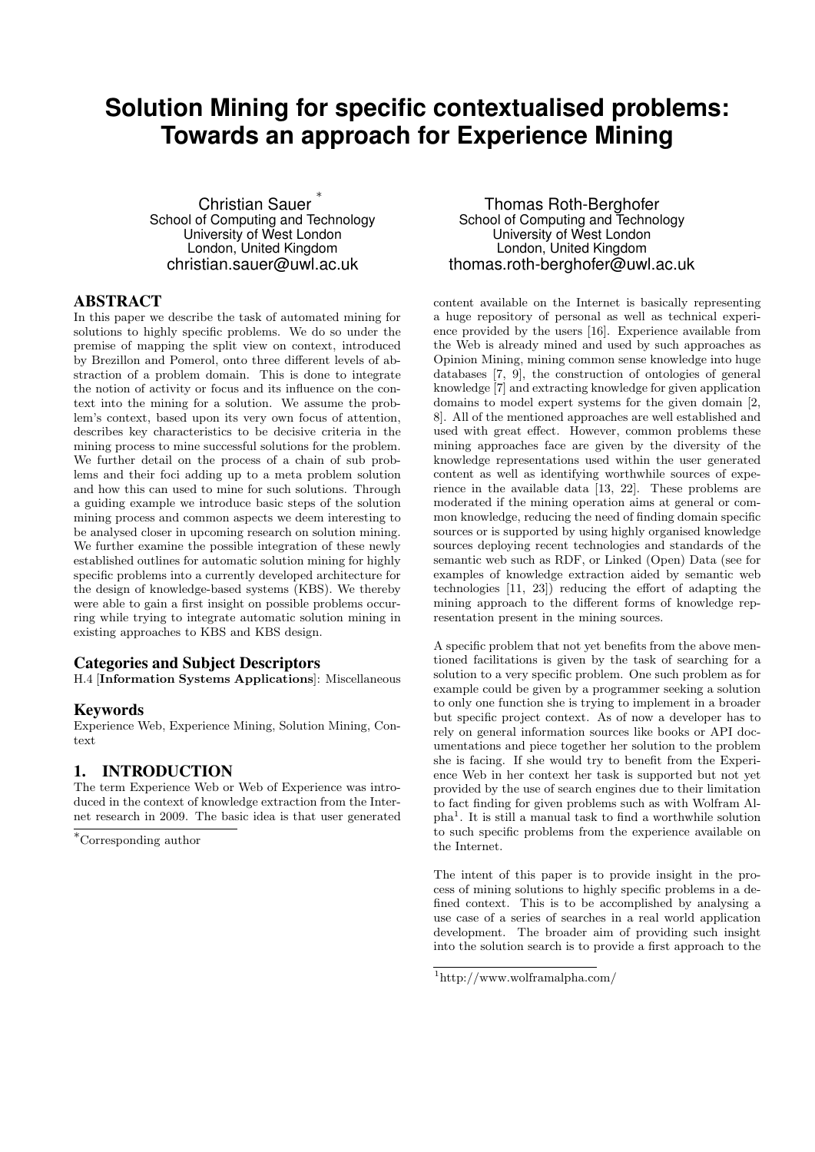# **Solution Mining for specific contextualised problems: Towards an approach for Experience Mining**

Christian Sauer ∗ School of Computing and Technology University of West London London, United Kingdom christian.sauer@uwl.ac.uk

## ABSTRACT

In this paper we describe the task of automated mining for solutions to highly specific problems. We do so under the premise of mapping the split view on context, introduced by Brezillon and Pomerol, onto three different levels of abstraction of a problem domain. This is done to integrate the notion of activity or focus and its influence on the context into the mining for a solution. We assume the problem's context, based upon its very own focus of attention, describes key characteristics to be decisive criteria in the mining process to mine successful solutions for the problem. We further detail on the process of a chain of sub problems and their foci adding up to a meta problem solution and how this can used to mine for such solutions. Through a guiding example we introduce basic steps of the solution mining process and common aspects we deem interesting to be analysed closer in upcoming research on solution mining. We further examine the possible integration of these newly established outlines for automatic solution mining for highly specific problems into a currently developed architecture for the design of knowledge-based systems (KBS). We thereby were able to gain a first insight on possible problems occurring while trying to integrate automatic solution mining in existing approaches to KBS and KBS design.

#### Categories and Subject Descriptors

H.4 [Information Systems Applications]: Miscellaneous

#### Keywords

Experience Web, Experience Mining, Solution Mining, Context

## 1. INTRODUCTION

The term Experience Web or Web of Experience was introduced in the context of knowledge extraction from the Internet research in 2009. The basic idea is that user generated

<sup>∗</sup>Corresponding author

Thomas Roth-Berghofer School of Computing and Technology University of West London London, United Kingdom thomas.roth-berghofer@uwl.ac.uk

content available on the Internet is basically representing a huge repository of personal as well as technical experience provided by the users [16]. Experience available from the Web is already mined and used by such approaches as Opinion Mining, mining common sense knowledge into huge databases [7, 9], the construction of ontologies of general knowledge [7] and extracting knowledge for given application domains to model expert systems for the given domain [2, 8]. All of the mentioned approaches are well established and used with great effect. However, common problems these mining approaches face are given by the diversity of the knowledge representations used within the user generated content as well as identifying worthwhile sources of experience in the available data [13, 22]. These problems are moderated if the mining operation aims at general or common knowledge, reducing the need of finding domain specific sources or is supported by using highly organised knowledge sources deploying recent technologies and standards of the semantic web such as RDF, or Linked (Open) Data (see for examples of knowledge extraction aided by semantic web technologies [11, 23]) reducing the effort of adapting the mining approach to the different forms of knowledge representation present in the mining sources.

A specific problem that not yet benefits from the above mentioned facilitations is given by the task of searching for a solution to a very specific problem. One such problem as for example could be given by a programmer seeking a solution to only one function she is trying to implement in a broader but specific project context. As of now a developer has to rely on general information sources like books or API documentations and piece together her solution to the problem she is facing. If she would try to benefit from the Experience Web in her context her task is supported but not yet provided by the use of search engines due to their limitation to fact finding for given problems such as with Wolfram Alpha<sup>1</sup> . It is still a manual task to find a worthwhile solution to such specific problems from the experience available on the Internet.

The intent of this paper is to provide insight in the process of mining solutions to highly specific problems in a defined context. This is to be accomplished by analysing a use case of a series of searches in a real world application development. The broader aim of providing such insight into the solution search is to provide a first approach to the

<sup>1</sup>http://www.wolframalpha.com/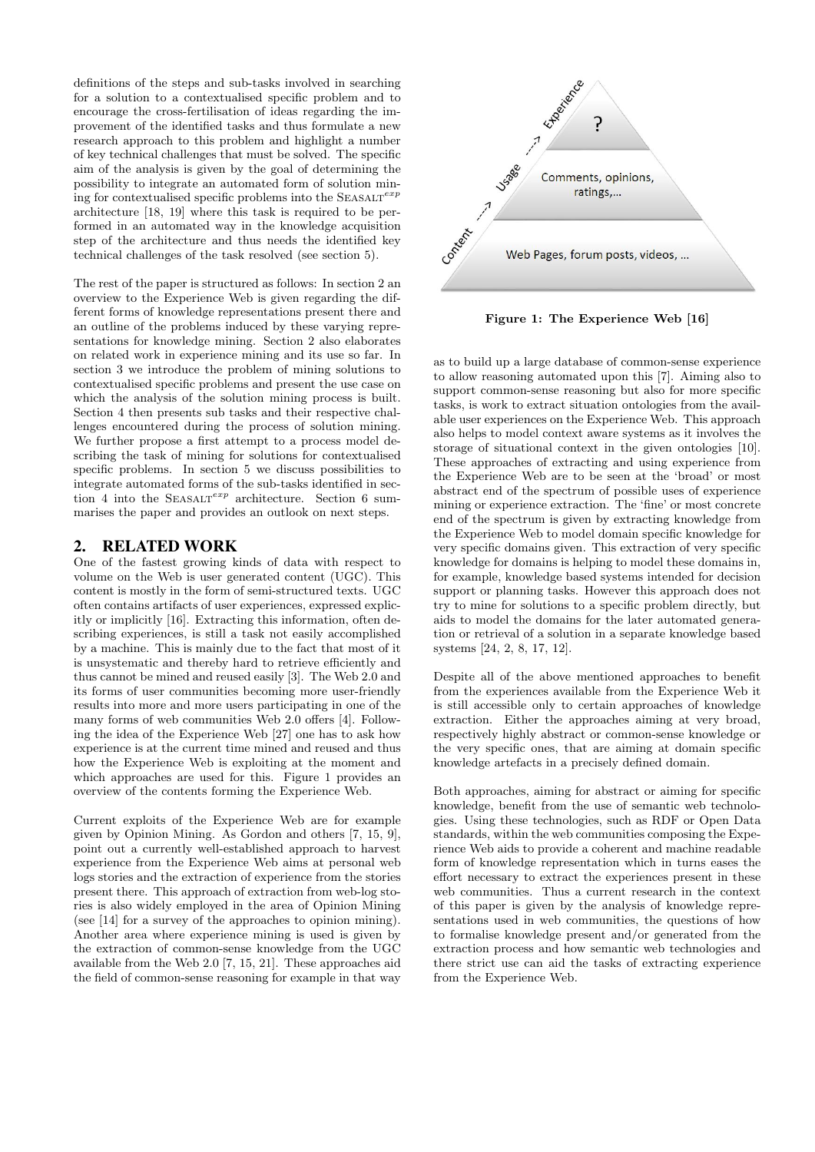definitions of the steps and sub-tasks involved in searching for a solution to a contextualised specific problem and to encourage the cross-fertilisation of ideas regarding the improvement of the identified tasks and thus formulate a new research approach to this problem and highlight a number of key technical challenges that must be solved. The specific aim of the analysis is given by the goal of determining the possibility to integrate an automated form of solution mining for contextualised specific problems into the SEASALT<sup> $^{exp}$ </sup> architecture [18, 19] where this task is required to be performed in an automated way in the knowledge acquisition step of the architecture and thus needs the identified key technical challenges of the task resolved (see section 5).

The rest of the paper is structured as follows: In section 2 an overview to the Experience Web is given regarding the different forms of knowledge representations present there and an outline of the problems induced by these varying representations for knowledge mining. Section 2 also elaborates on related work in experience mining and its use so far. In section 3 we introduce the problem of mining solutions to contextualised specific problems and present the use case on which the analysis of the solution mining process is built. Section 4 then presents sub tasks and their respective challenges encountered during the process of solution mining. We further propose a first attempt to a process model describing the task of mining for solutions for contextualised specific problems. In section 5 we discuss possibilities to integrate automated forms of the sub-tasks identified in section 4 into the SEASALT<sup>exp</sup> architecture. Section 6 summarises the paper and provides an outlook on next steps.

### 2. RELATED WORK

One of the fastest growing kinds of data with respect to volume on the Web is user generated content (UGC). This content is mostly in the form of semi-structured texts. UGC often contains artifacts of user experiences, expressed explicitly or implicitly [16]. Extracting this information, often describing experiences, is still a task not easily accomplished by a machine. This is mainly due to the fact that most of it is unsystematic and thereby hard to retrieve efficiently and thus cannot be mined and reused easily [3]. The Web 2.0 and its forms of user communities becoming more user-friendly results into more and more users participating in one of the many forms of web communities Web 2.0 offers [4]. Following the idea of the Experience Web [27] one has to ask how experience is at the current time mined and reused and thus how the Experience Web is exploiting at the moment and which approaches are used for this. Figure 1 provides an overview of the contents forming the Experience Web.

Current exploits of the Experience Web are for example given by Opinion Mining. As Gordon and others [7, 15, 9], point out a currently well-established approach to harvest experience from the Experience Web aims at personal web logs stories and the extraction of experience from the stories present there. This approach of extraction from web-log stories is also widely employed in the area of Opinion Mining (see [14] for a survey of the approaches to opinion mining). Another area where experience mining is used is given by the extraction of common-sense knowledge from the UGC available from the Web 2.0 [7, 15, 21]. These approaches aid the field of common-sense reasoning for example in that way



Figure 1: The Experience Web [16]

as to build up a large database of common-sense experience to allow reasoning automated upon this [7]. Aiming also to support common-sense reasoning but also for more specific tasks, is work to extract situation ontologies from the available user experiences on the Experience Web. This approach also helps to model context aware systems as it involves the storage of situational context in the given ontologies [10]. These approaches of extracting and using experience from the Experience Web are to be seen at the 'broad' or most abstract end of the spectrum of possible uses of experience mining or experience extraction. The 'fine' or most concrete end of the spectrum is given by extracting knowledge from the Experience Web to model domain specific knowledge for very specific domains given. This extraction of very specific knowledge for domains is helping to model these domains in, for example, knowledge based systems intended for decision support or planning tasks. However this approach does not try to mine for solutions to a specific problem directly, but aids to model the domains for the later automated generation or retrieval of a solution in a separate knowledge based systems [24, 2, 8, 17, 12].

Despite all of the above mentioned approaches to benefit from the experiences available from the Experience Web it is still accessible only to certain approaches of knowledge extraction. Either the approaches aiming at very broad, respectively highly abstract or common-sense knowledge or the very specific ones, that are aiming at domain specific knowledge artefacts in a precisely defined domain.

Both approaches, aiming for abstract or aiming for specific knowledge, benefit from the use of semantic web technologies. Using these technologies, such as RDF or Open Data standards, within the web communities composing the Experience Web aids to provide a coherent and machine readable form of knowledge representation which in turns eases the effort necessary to extract the experiences present in these web communities. Thus a current research in the context of this paper is given by the analysis of knowledge representations used in web communities, the questions of how to formalise knowledge present and/or generated from the extraction process and how semantic web technologies and there strict use can aid the tasks of extracting experience from the Experience Web.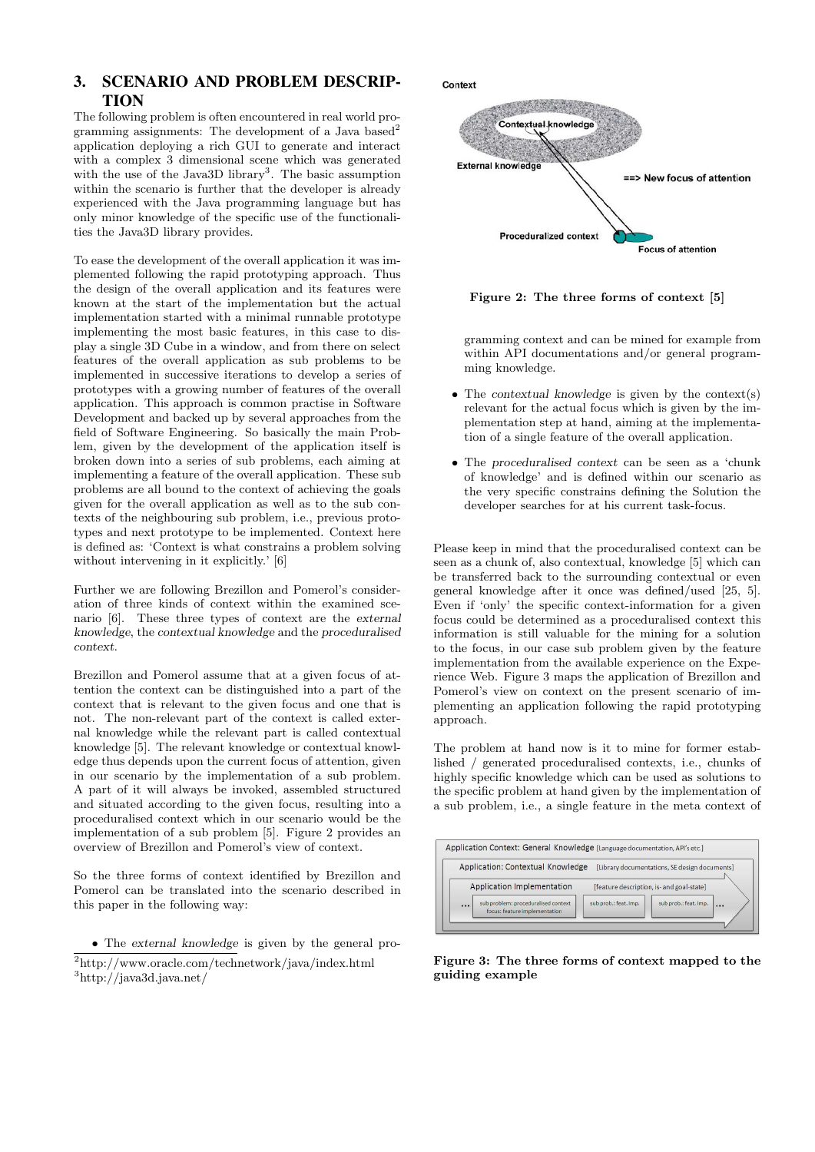# 3. SCENARIO AND PROBLEM DESCRIP-**TION**

The following problem is often encountered in real world programming assignments: The development of a Java based<sup>2</sup> application deploying a rich GUI to generate and interact with a complex 3 dimensional scene which was generated with the use of the Java3D library<sup>3</sup>. The basic assumption within the scenario is further that the developer is already experienced with the Java programming language but has only minor knowledge of the specific use of the functionalities the Java3D library provides.

To ease the development of the overall application it was implemented following the rapid prototyping approach. Thus the design of the overall application and its features were known at the start of the implementation but the actual implementation started with a minimal runnable prototype implementing the most basic features, in this case to display a single 3D Cube in a window, and from there on select features of the overall application as sub problems to be implemented in successive iterations to develop a series of prototypes with a growing number of features of the overall application. This approach is common practise in Software Development and backed up by several approaches from the field of Software Engineering. So basically the main Problem, given by the development of the application itself is broken down into a series of sub problems, each aiming at implementing a feature of the overall application. These sub problems are all bound to the context of achieving the goals given for the overall application as well as to the sub contexts of the neighbouring sub problem, i.e., previous prototypes and next prototype to be implemented. Context here is defined as: 'Context is what constrains a problem solving without intervening in it explicitly.' [6]

Further we are following Brezillon and Pomerol's consideration of three kinds of context within the examined scenario [6]. These three types of context are the external knowledge, the contextual knowledge and the proceduralised context.

Brezillon and Pomerol assume that at a given focus of attention the context can be distinguished into a part of the context that is relevant to the given focus and one that is not. The non-relevant part of the context is called external knowledge while the relevant part is called contextual knowledge [5]. The relevant knowledge or contextual knowledge thus depends upon the current focus of attention, given in our scenario by the implementation of a sub problem. A part of it will always be invoked, assembled structured and situated according to the given focus, resulting into a proceduralised context which in our scenario would be the implementation of a sub problem [5]. Figure 2 provides an overview of Brezillon and Pomerol's view of context.

So the three forms of context identified by Brezillon and Pomerol can be translated into the scenario described in this paper in the following way:

• The external knowledge is given by the general pro-<sup>2</sup>http://www.oracle.com/technetwork/java/index.html  $3$ http://java3d.java.net/



Figure 2: The three forms of context [5]

gramming context and can be mined for example from within API documentations and/or general programming knowledge.

- The contextual knowledge is given by the context(s) relevant for the actual focus which is given by the implementation step at hand, aiming at the implementation of a single feature of the overall application.
- The proceduralised context can be seen as a 'chunk of knowledge' and is defined within our scenario as the very specific constrains defining the Solution the developer searches for at his current task-focus.

Please keep in mind that the proceduralised context can be seen as a chunk of, also contextual, knowledge [5] which can be transferred back to the surrounding contextual or even general knowledge after it once was defined/used [25, 5]. Even if 'only' the specific context-information for a given focus could be determined as a proceduralised context this information is still valuable for the mining for a solution to the focus, in our case sub problem given by the feature implementation from the available experience on the Experience Web. Figure 3 maps the application of Brezillon and Pomerol's view on context on the present scenario of implementing an application following the rapid prototyping approach.

The problem at hand now is it to mine for former established / generated proceduralised contexts, i.e., chunks of highly specific knowledge which can be used as solutions to the specific problem at hand given by the implementation of a sub problem, i.e., a single feature in the meta context of



Figure 3: The three forms of context mapped to the guiding example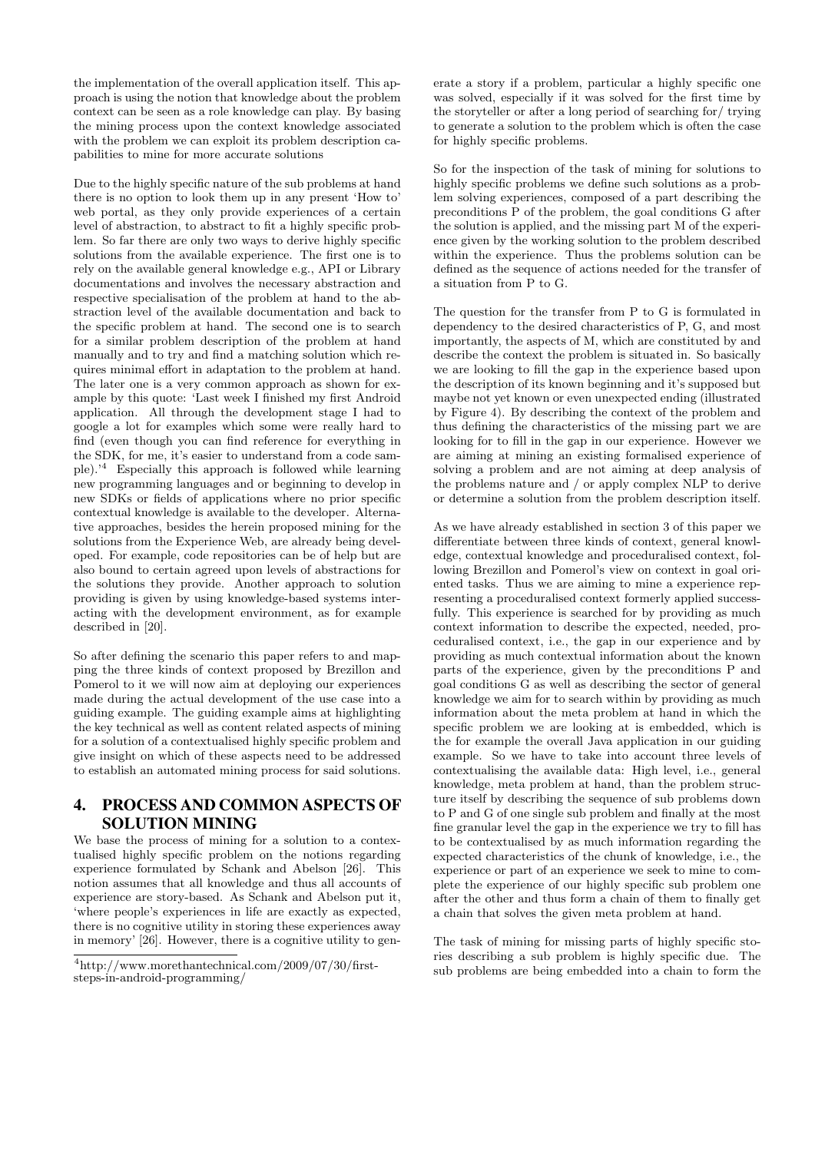the implementation of the overall application itself. This approach is using the notion that knowledge about the problem context can be seen as a role knowledge can play. By basing the mining process upon the context knowledge associated with the problem we can exploit its problem description capabilities to mine for more accurate solutions

Due to the highly specific nature of the sub problems at hand there is no option to look them up in any present 'How to' web portal, as they only provide experiences of a certain level of abstraction, to abstract to fit a highly specific problem. So far there are only two ways to derive highly specific solutions from the available experience. The first one is to rely on the available general knowledge e.g., API or Library documentations and involves the necessary abstraction and respective specialisation of the problem at hand to the abstraction level of the available documentation and back to the specific problem at hand. The second one is to search for a similar problem description of the problem at hand manually and to try and find a matching solution which requires minimal effort in adaptation to the problem at hand. The later one is a very common approach as shown for example by this quote: 'Last week I finished my first Android application. All through the development stage I had to google a lot for examples which some were really hard to find (even though you can find reference for everything in the SDK, for me, it's easier to understand from a code sample).'<sup>4</sup> Especially this approach is followed while learning new programming languages and or beginning to develop in new SDKs or fields of applications where no prior specific contextual knowledge is available to the developer. Alternative approaches, besides the herein proposed mining for the solutions from the Experience Web, are already being developed. For example, code repositories can be of help but are also bound to certain agreed upon levels of abstractions for the solutions they provide. Another approach to solution providing is given by using knowledge-based systems interacting with the development environment, as for example described in [20].

So after defining the scenario this paper refers to and mapping the three kinds of context proposed by Brezillon and Pomerol to it we will now aim at deploying our experiences made during the actual development of the use case into a guiding example. The guiding example aims at highlighting the key technical as well as content related aspects of mining for a solution of a contextualised highly specific problem and give insight on which of these aspects need to be addressed to establish an automated mining process for said solutions.

## 4. PROCESS AND COMMON ASPECTS OF SOLUTION MINING

We base the process of mining for a solution to a contextualised highly specific problem on the notions regarding experience formulated by Schank and Abelson [26]. This notion assumes that all knowledge and thus all accounts of experience are story-based. As Schank and Abelson put it, 'where people's experiences in life are exactly as expected, there is no cognitive utility in storing these experiences away in memory' [26]. However, there is a cognitive utility to gen-

erate a story if a problem, particular a highly specific one was solved, especially if it was solved for the first time by the storyteller or after a long period of searching for/ trying to generate a solution to the problem which is often the case for highly specific problems.

So for the inspection of the task of mining for solutions to highly specific problems we define such solutions as a problem solving experiences, composed of a part describing the preconditions P of the problem, the goal conditions G after the solution is applied, and the missing part M of the experience given by the working solution to the problem described within the experience. Thus the problems solution can be defined as the sequence of actions needed for the transfer of a situation from P to G.

The question for the transfer from P to G is formulated in dependency to the desired characteristics of P, G, and most importantly, the aspects of M, which are constituted by and describe the context the problem is situated in. So basically we are looking to fill the gap in the experience based upon the description of its known beginning and it's supposed but maybe not yet known or even unexpected ending (illustrated by Figure 4). By describing the context of the problem and thus defining the characteristics of the missing part we are looking for to fill in the gap in our experience. However we are aiming at mining an existing formalised experience of solving a problem and are not aiming at deep analysis of the problems nature and / or apply complex NLP to derive or determine a solution from the problem description itself.

As we have already established in section 3 of this paper we differentiate between three kinds of context, general knowledge, contextual knowledge and proceduralised context, following Brezillon and Pomerol's view on context in goal oriented tasks. Thus we are aiming to mine a experience representing a proceduralised context formerly applied successfully. This experience is searched for by providing as much context information to describe the expected, needed, proceduralised context, i.e., the gap in our experience and by providing as much contextual information about the known parts of the experience, given by the preconditions P and goal conditions G as well as describing the sector of general knowledge we aim for to search within by providing as much information about the meta problem at hand in which the specific problem we are looking at is embedded, which is the for example the overall Java application in our guiding example. So we have to take into account three levels of contextualising the available data: High level, i.e., general knowledge, meta problem at hand, than the problem structure itself by describing the sequence of sub problems down to P and G of one single sub problem and finally at the most fine granular level the gap in the experience we try to fill has to be contextualised by as much information regarding the expected characteristics of the chunk of knowledge, i.e., the experience or part of an experience we seek to mine to complete the experience of our highly specific sub problem one after the other and thus form a chain of them to finally get a chain that solves the given meta problem at hand.

The task of mining for missing parts of highly specific stories describing a sub problem is highly specific due. The sub problems are being embedded into a chain to form the

<sup>4</sup>http://www.morethantechnical.com/2009/07/30/firststeps-in-android-programming/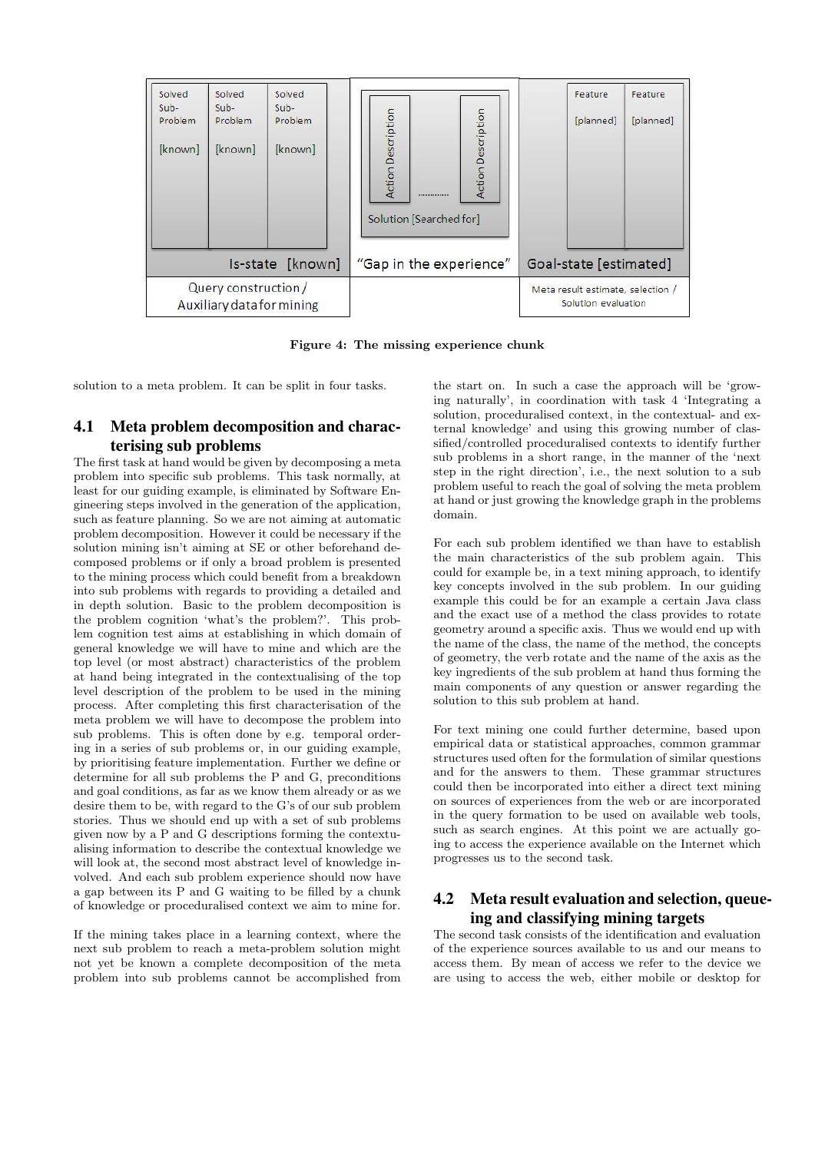

Figure 4: The missing experience chunk

solution to a meta problem. It can be split in four tasks.

# 4.1 Meta problem decomposition and characterising sub problems

The first task at hand would be given by decomposing a meta problem into specific sub problems. This task normally, at least for our guiding example, is eliminated by Software Engineering steps involved in the generation of the application, such as feature planning. So we are not aiming at automatic problem decomposition. However it could be necessary if the solution mining isn't aiming at SE or other beforehand decomposed problems or if only a broad problem is presented to the mining process which could benefit from a breakdown into sub problems with regards to providing a detailed and in depth solution. Basic to the problem decomposition is the problem cognition 'what's the problem?'. This problem cognition test aims at establishing in which domain of general knowledge we will have to mine and which are the top level (or most abstract) characteristics of the problem at hand being integrated in the contextualising of the top level description of the problem to be used in the mining process. After completing this first characterisation of the meta problem we will have to decompose the problem into sub problems. This is often done by e.g. temporal ordering in a series of sub problems or, in our guiding example, by prioritising feature implementation. Further we define or determine for all sub problems the P and G, preconditions and goal conditions, as far as we know them already or as we desire them to be, with regard to the G's of our sub problem stories. Thus we should end up with a set of sub problems given now by a P and G descriptions forming the contextualising information to describe the contextual knowledge we will look at, the second most abstract level of knowledge involved. And each sub problem experience should now have a gap between its P and G waiting to be filled by a chunk of knowledge or proceduralised context we aim to mine for.

If the mining takes place in a learning context, where the next sub problem to reach a meta-problem solution might not yet be known a complete decomposition of the meta problem into sub problems cannot be accomplished from

the start on. In such a case the approach will be 'growing naturally', in coordination with task 4 'Integrating a solution, proceduralised context, in the contextual- and external knowledge' and using this growing number of classified/controlled proceduralised contexts to identify further sub problems in a short range, in the manner of the 'next step in the right direction', i.e., the next solution to a sub problem useful to reach the goal of solving the meta problem at hand or just growing the knowledge graph in the problems domain.

For each sub problem identified we than have to establish the main characteristics of the sub problem again. This could for example be, in a text mining approach, to identify key concepts involved in the sub problem. In our guiding example this could be for an example a certain Java class and the exact use of a method the class provides to rotate geometry around a specific axis. Thus we would end up with the name of the class, the name of the method, the concepts of geometry, the verb rotate and the name of the axis as the key ingredients of the sub problem at hand thus forming the main components of any question or answer regarding the solution to this sub problem at hand.

For text mining one could further determine, based upon empirical data or statistical approaches, common grammar structures used often for the formulation of similar questions and for the answers to them. These grammar structures could then be incorporated into either a direct text mining on sources of experiences from the web or are incorporated in the query formation to be used on available web tools, such as search engines. At this point we are actually going to access the experience available on the Internet which progresses us to the second task.

## 4.2 Meta result evaluation and selection, queueing and classifying mining targets

The second task consists of the identification and evaluation of the experience sources available to us and our means to access them. By mean of access we refer to the device we are using to access the web, either mobile or desktop for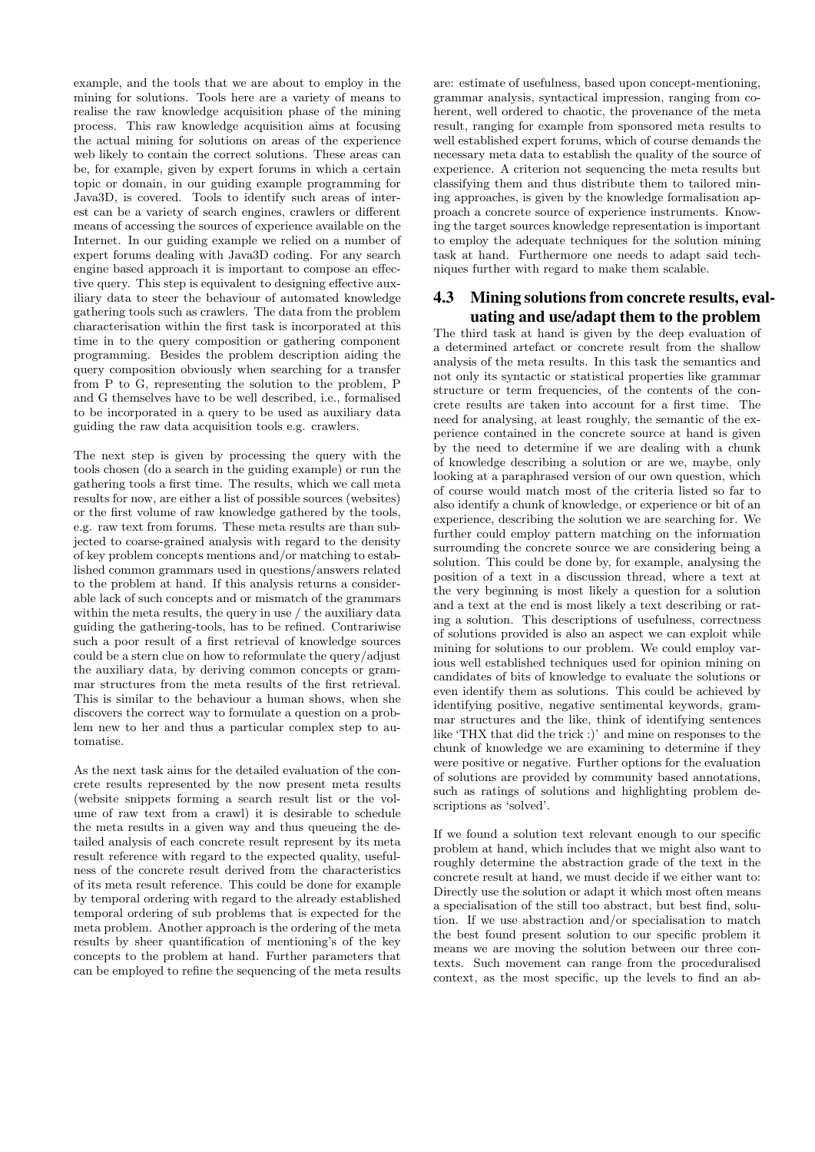example, and the tools that we are about to employ in the mining for solutions. Tools here are a variety of means to realise the raw knowledge acquisition phase of the mining process. This raw knowledge acquisition aims at focusing the actual mining for solutions on areas of the experience web likely to contain the correct solutions. These areas can be, for example, given by expert forums in which a certain topic or domain, in our guiding example programming for Java3D, is covered. Tools to identify such areas of interest can be a variety of search engines, crawlers or different means of accessing the sources of experience available on the Internet. In our guiding example we relied on a number of expert forums dealing with Java3D coding. For any search engine based approach it is important to compose an effective query. This step is equivalent to designing effective auxiliary data to steer the behaviour of automated knowledge gathering tools such as crawlers. The data from the problem characterisation within the first task is incorporated at this time in to the query composition or gathering component programming. Besides the problem description aiding the query composition obviously when searching for a transfer from P to G, representing the solution to the problem, P and G themselves have to be well described, i.e., formalised to be incorporated in a query to be used as auxiliary data guiding the raw data acquisition tools e.g. crawlers.

The next step is given by processing the query with the tools chosen (do a search in the guiding example) or run the gathering tools a first time. The results, which we call meta results for now, are either a list of possible sources (websites) or the first volume of raw knowledge gathered by the tools, e.g. raw text from forums. These meta results are than subjected to coarse-grained analysis with regard to the density of key problem concepts mentions and/or matching to established common grammars used in questions/answers related to the problem at hand. If this analysis returns a considerable lack of such concepts and or mismatch of the grammars within the meta results, the query in use / the auxiliary data guiding the gathering-tools, has to be refined. Contrariwise such a poor result of a first retrieval of knowledge sources could be a stern clue on how to reformulate the query/adjust the auxiliary data, by deriving common concepts or grammar structures from the meta results of the first retrieval. This is similar to the behaviour a human shows, when she discovers the correct way to formulate a question on a problem new to her and thus a particular complex step to automatise.

As the next task aims for the detailed evaluation of the concrete results represented by the now present meta results (website snippets forming a search result list or the volume of raw text from a crawl) it is desirable to schedule the meta results in a given way and thus queueing the detailed analysis of each concrete result represent by its meta result reference with regard to the expected quality, usefulness of the concrete result derived from the characteristics of its meta result reference. This could be done for example by temporal ordering with regard to the already established temporal ordering of sub problems that is expected for the meta problem. Another approach is the ordering of the meta results by sheer quantification of mentioning's of the key concepts to the problem at hand. Further parameters that can be employed to refine the sequencing of the meta results

are: estimate of usefulness, based upon concept-mentioning, grammar analysis, syntactical impression, ranging from coherent, well ordered to chaotic, the provenance of the meta result, ranging for example from sponsored meta results to well established expert forums, which of course demands the necessary meta data to establish the quality of the source of experience. A criterion not sequencing the meta results but classifying them and thus distribute them to tailored mining approaches, is given by the knowledge formalisation approach a concrete source of experience instruments. Knowing the target sources knowledge representation is important to employ the adequate techniques for the solution mining task at hand. Furthermore one needs to adapt said techniques further with regard to make them scalable.

## 4.3 Mining solutions from concrete results, evaluating and use/adapt them to the problem

The third task at hand is given by the deep evaluation of a determined artefact or concrete result from the shallow analysis of the meta results. In this task the semantics and not only its syntactic or statistical properties like grammar structure or term frequencies, of the contents of the concrete results are taken into account for a first time. The need for analysing, at least roughly, the semantic of the experience contained in the concrete source at hand is given by the need to determine if we are dealing with a chunk of knowledge describing a solution or are we, maybe, only looking at a paraphrased version of our own question, which of course would match most of the criteria listed so far to also identify a chunk of knowledge, or experience or bit of an experience, describing the solution we are searching for. We further could employ pattern matching on the information surrounding the concrete source we are considering being a solution. This could be done by, for example, analysing the position of a text in a discussion thread, where a text at the very beginning is most likely a question for a solution and a text at the end is most likely a text describing or rating a solution. This descriptions of usefulness, correctness of solutions provided is also an aspect we can exploit while mining for solutions to our problem. We could employ various well established techniques used for opinion mining on candidates of bits of knowledge to evaluate the solutions or even identify them as solutions. This could be achieved by identifying positive, negative sentimental keywords, grammar structures and the like, think of identifying sentences like 'THX that did the trick :)' and mine on responses to the chunk of knowledge we are examining to determine if they were positive or negative. Further options for the evaluation of solutions are provided by community based annotations, such as ratings of solutions and highlighting problem descriptions as 'solved'.

If we found a solution text relevant enough to our specific problem at hand, which includes that we might also want to roughly determine the abstraction grade of the text in the concrete result at hand, we must decide if we either want to: Directly use the solution or adapt it which most often means a specialisation of the still too abstract, but best find, solution. If we use abstraction and/or specialisation to match the best found present solution to our specific problem it means we are moving the solution between our three contexts. Such movement can range from the proceduralised context, as the most specific, up the levels to find an ab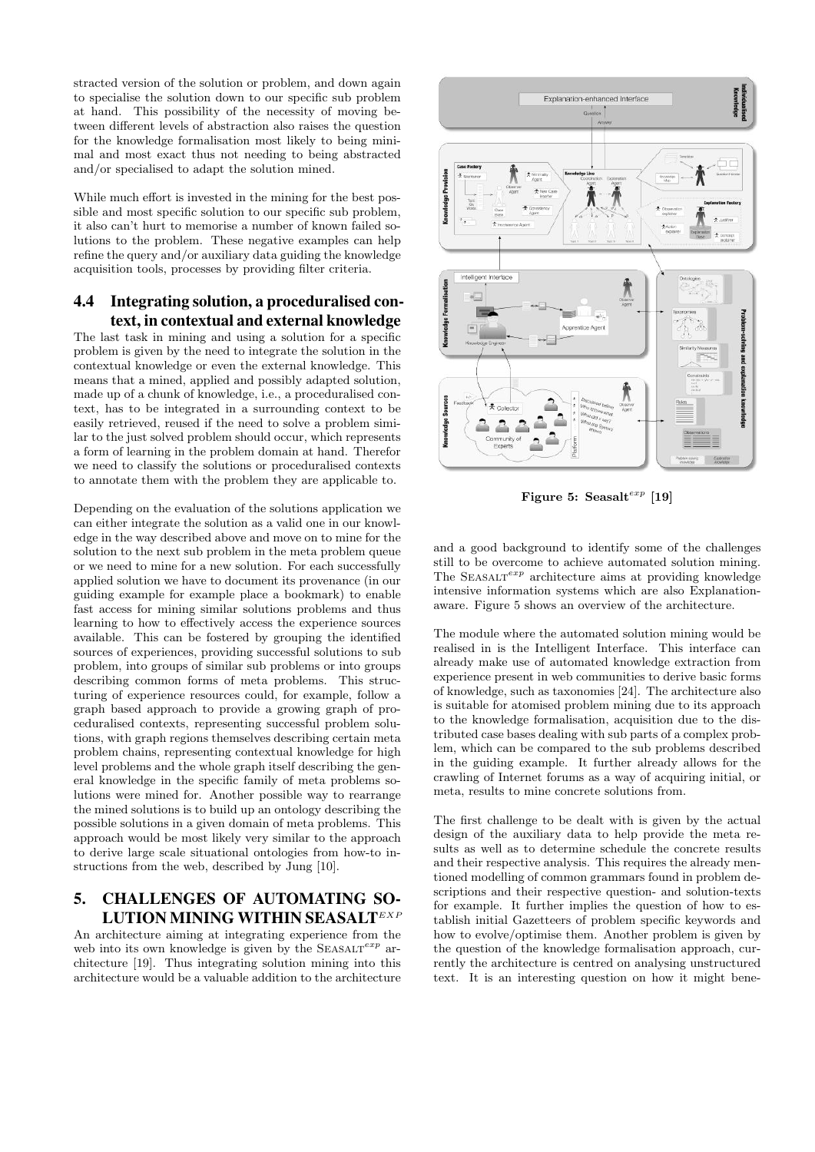stracted version of the solution or problem, and down again to specialise the solution down to our specific sub problem at hand. This possibility of the necessity of moving between different levels of abstraction also raises the question for the knowledge formalisation most likely to being minimal and most exact thus not needing to being abstracted and/or specialised to adapt the solution mined.

While much effort is invested in the mining for the best possible and most specific solution to our specific sub problem, it also can't hurt to memorise a number of known failed solutions to the problem. These negative examples can help refine the query and/or auxiliary data guiding the knowledge acquisition tools, processes by providing filter criteria.

## 4.4 Integrating solution, a proceduralised context, in contextual and external knowledge

The last task in mining and using a solution for a specific problem is given by the need to integrate the solution in the contextual knowledge or even the external knowledge. This means that a mined, applied and possibly adapted solution, made up of a chunk of knowledge, i.e., a proceduralised context, has to be integrated in a surrounding context to be easily retrieved, reused if the need to solve a problem similar to the just solved problem should occur, which represents a form of learning in the problem domain at hand. Therefor we need to classify the solutions or proceduralised contexts to annotate them with the problem they are applicable to.

Depending on the evaluation of the solutions application we can either integrate the solution as a valid one in our knowledge in the way described above and move on to mine for the solution to the next sub problem in the meta problem queue or we need to mine for a new solution. For each successfully applied solution we have to document its provenance (in our guiding example for example place a bookmark) to enable fast access for mining similar solutions problems and thus learning to how to effectively access the experience sources available. This can be fostered by grouping the identified sources of experiences, providing successful solutions to sub problem, into groups of similar sub problems or into groups describing common forms of meta problems. This structuring of experience resources could, for example, follow a graph based approach to provide a growing graph of proceduralised contexts, representing successful problem solutions, with graph regions themselves describing certain meta problem chains, representing contextual knowledge for high level problems and the whole graph itself describing the general knowledge in the specific family of meta problems solutions were mined for. Another possible way to rearrange the mined solutions is to build up an ontology describing the possible solutions in a given domain of meta problems. This approach would be most likely very similar to the approach to derive large scale situational ontologies from how-to instructions from the web, described by Jung [10].

## 5. CHALLENGES OF AUTOMATING SO-LUTION MINING WITHIN SEASALTEXP

An architecture aiming at integrating experience from the web into its own knowledge is given by the  $SEASALT^{exp}$  architecture [19]. Thus integrating solution mining into this architecture would be a valuable addition to the architecture



Figure 5: Seasalt $^{exp}$  [19]

and a good background to identify some of the challenges still to be overcome to achieve automated solution mining. The SEASALT<sup> $exp$ </sup> architecture aims at providing knowledge intensive information systems which are also Explanationaware. Figure 5 shows an overview of the architecture.

The module where the automated solution mining would be realised in is the Intelligent Interface. This interface can already make use of automated knowledge extraction from experience present in web communities to derive basic forms of knowledge, such as taxonomies [24]. The architecture also is suitable for atomised problem mining due to its approach to the knowledge formalisation, acquisition due to the distributed case bases dealing with sub parts of a complex problem, which can be compared to the sub problems described in the guiding example. It further already allows for the crawling of Internet forums as a way of acquiring initial, or meta, results to mine concrete solutions from.

The first challenge to be dealt with is given by the actual design of the auxiliary data to help provide the meta results as well as to determine schedule the concrete results and their respective analysis. This requires the already mentioned modelling of common grammars found in problem descriptions and their respective question- and solution-texts for example. It further implies the question of how to establish initial Gazetteers of problem specific keywords and how to evolve/optimise them. Another problem is given by the question of the knowledge formalisation approach, currently the architecture is centred on analysing unstructured text. It is an interesting question on how it might bene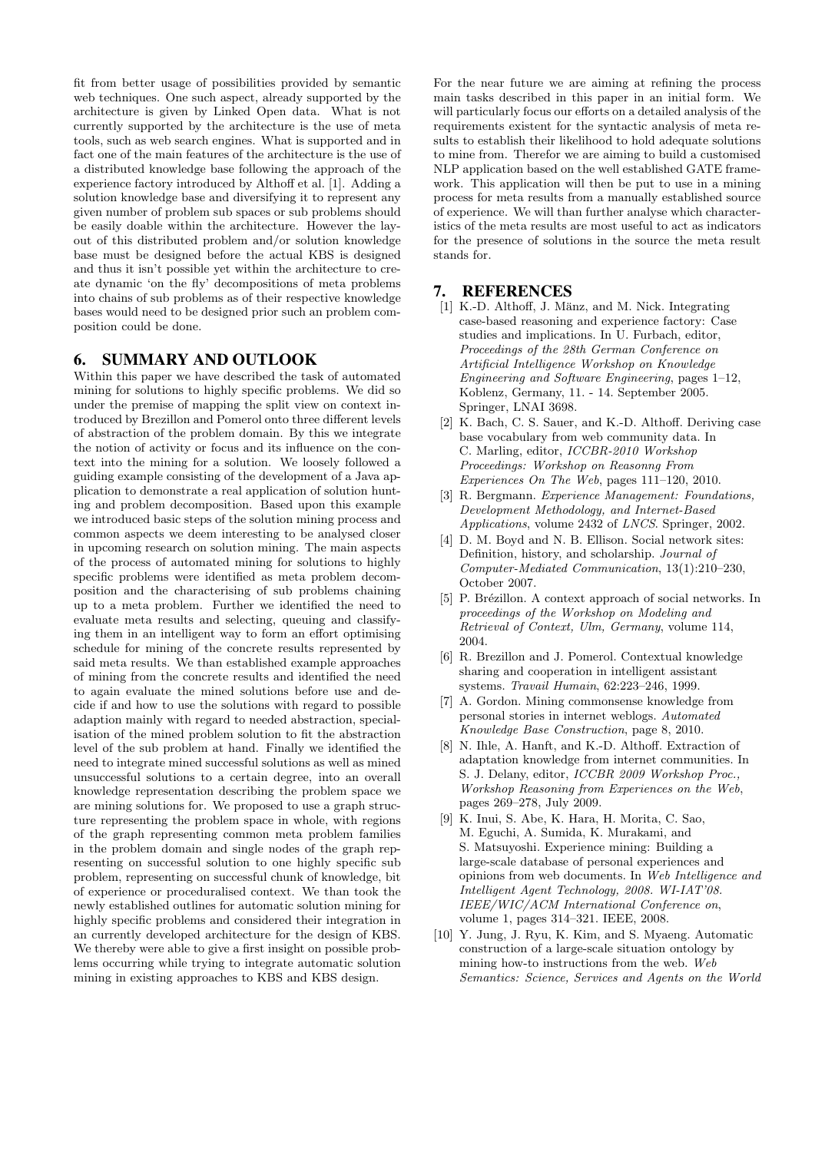fit from better usage of possibilities provided by semantic web techniques. One such aspect, already supported by the architecture is given by Linked Open data. What is not currently supported by the architecture is the use of meta tools, such as web search engines. What is supported and in fact one of the main features of the architecture is the use of a distributed knowledge base following the approach of the experience factory introduced by Althoff et al. [1]. Adding a solution knowledge base and diversifying it to represent any given number of problem sub spaces or sub problems should be easily doable within the architecture. However the layout of this distributed problem and/or solution knowledge base must be designed before the actual KBS is designed and thus it isn't possible yet within the architecture to create dynamic 'on the fly' decompositions of meta problems into chains of sub problems as of their respective knowledge bases would need to be designed prior such an problem composition could be done.

## 6. SUMMARY AND OUTLOOK

Within this paper we have described the task of automated mining for solutions to highly specific problems. We did so under the premise of mapping the split view on context introduced by Brezillon and Pomerol onto three different levels of abstraction of the problem domain. By this we integrate the notion of activity or focus and its influence on the context into the mining for a solution. We loosely followed a guiding example consisting of the development of a Java application to demonstrate a real application of solution hunting and problem decomposition. Based upon this example we introduced basic steps of the solution mining process and common aspects we deem interesting to be analysed closer in upcoming research on solution mining. The main aspects of the process of automated mining for solutions to highly specific problems were identified as meta problem decomposition and the characterising of sub problems chaining up to a meta problem. Further we identified the need to evaluate meta results and selecting, queuing and classifying them in an intelligent way to form an effort optimising schedule for mining of the concrete results represented by said meta results. We than established example approaches of mining from the concrete results and identified the need to again evaluate the mined solutions before use and decide if and how to use the solutions with regard to possible adaption mainly with regard to needed abstraction, specialisation of the mined problem solution to fit the abstraction level of the sub problem at hand. Finally we identified the need to integrate mined successful solutions as well as mined unsuccessful solutions to a certain degree, into an overall knowledge representation describing the problem space we are mining solutions for. We proposed to use a graph structure representing the problem space in whole, with regions of the graph representing common meta problem families in the problem domain and single nodes of the graph representing on successful solution to one highly specific sub problem, representing on successful chunk of knowledge, bit of experience or proceduralised context. We than took the newly established outlines for automatic solution mining for highly specific problems and considered their integration in an currently developed architecture for the design of KBS. We thereby were able to give a first insight on possible problems occurring while trying to integrate automatic solution mining in existing approaches to KBS and KBS design.

For the near future we are aiming at refining the process main tasks described in this paper in an initial form. We will particularly focus our efforts on a detailed analysis of the requirements existent for the syntactic analysis of meta results to establish their likelihood to hold adequate solutions to mine from. Therefor we are aiming to build a customised NLP application based on the well established GATE framework. This application will then be put to use in a mining process for meta results from a manually established source of experience. We will than further analyse which characteristics of the meta results are most useful to act as indicators for the presence of solutions in the source the meta result stands for.

#### 7. REFERENCES

- [1] K.-D. Althoff, J. Mänz, and M. Nick. Integrating case-based reasoning and experience factory: Case studies and implications. In U. Furbach, editor, Proceedings of the 28th German Conference on Artificial Intelligence Workshop on Knowledge Engineering and Software Engineering, pages 1–12, Koblenz, Germany, 11. - 14. September 2005. Springer, LNAI 3698.
- [2] K. Bach, C. S. Sauer, and K.-D. Althoff. Deriving case base vocabulary from web community data. In C. Marling, editor, ICCBR-2010 Workshop Proceedings: Workshop on Reasonng From Experiences On The Web, pages 111–120, 2010.
- [3] R. Bergmann. Experience Management: Foundations, Development Methodology, and Internet-Based Applications, volume 2432 of LNCS. Springer, 2002.
- [4] D. M. Boyd and N. B. Ellison. Social network sites: Definition, history, and scholarship. Journal of Computer-Mediated Communication, 13(1):210–230, October 2007.
- [5] P. Brézillon. A context approach of social networks. In proceedings of the Workshop on Modeling and Retrieval of Context, Ulm, Germany, volume 114, 2004.
- [6] R. Brezillon and J. Pomerol. Contextual knowledge sharing and cooperation in intelligent assistant systems. Travail Humain, 62:223–246, 1999.
- [7] A. Gordon. Mining commonsense knowledge from personal stories in internet weblogs. Automated Knowledge Base Construction, page 8, 2010.
- [8] N. Ihle, A. Hanft, and K.-D. Althoff. Extraction of adaptation knowledge from internet communities. In S. J. Delany, editor, ICCBR 2009 Workshop Proc., Workshop Reasoning from Experiences on the Web, pages 269–278, July 2009.
- [9] K. Inui, S. Abe, K. Hara, H. Morita, C. Sao, M. Eguchi, A. Sumida, K. Murakami, and S. Matsuyoshi. Experience mining: Building a large-scale database of personal experiences and opinions from web documents. In Web Intelligence and Intelligent Agent Technology, 2008. WI-IAT'08. IEEE/WIC/ACM International Conference on, volume 1, pages 314–321. IEEE, 2008.
- [10] Y. Jung, J. Ryu, K. Kim, and S. Myaeng. Automatic construction of a large-scale situation ontology by mining how-to instructions from the web. Web Semantics: Science, Services and Agents on the World